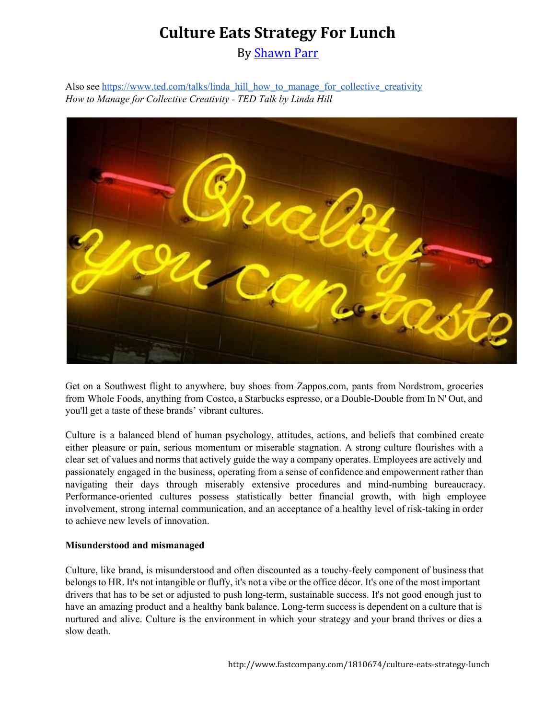By [Shawn](http://www.fastcompany.com/user/shawn-parr) Parr

Also see [https://www.ted.com/talks/linda\\_hill\\_how\\_to\\_manage\\_for\\_collective\\_creativity](https://www.ted.com/talks/linda_hill_how_to_manage_for_collective_creativity) *How to Manage for Collective Creativity TED Talk by Linda Hill*



Get on a Southwest flight to anywhere, buy shoes from Zappos.com, pants from Nordstrom, groceries from Whole Foods, anything from Costco, a Starbucks espresso, or a Double-Double from In N' Out, and you'll get a taste of these brands' vibrant cultures.

Culture is a balanced blend of human psychology, attitudes, actions, and beliefs that combined create either pleasure or pain, serious momentum or miserable stagnation. A strong culture flourishes with a clear set of values and norms that actively guide the way a company operates. Employees are actively and passionately engaged in the business, operating from a sense of confidence and empowerment rather than navigating their days through miserably extensive procedures and mind-numbing bureaucracy. Performance-oriented cultures possess statistically better financial growth, with high employee involvement, strong internal communication, and an acceptance of a healthy level of risk-taking in order to achieve new levels of innovation.

#### **Misunderstood and mismanaged**

Culture, like brand, is misunderstood and often discounted as a touchy-feely component of business that belongs to HR. It's not intangible or fluffy, it's not a vibe or the office décor. It's one of the most important drivers that has to be set or adjusted to push long-term, sustainable success. It's not good enough just to have an amazing product and a healthy bank balance. Long-term success is dependent on a culture that is nurtured and alive. Culture is the environment in which your strategy and your brand thrives or dies a slow death.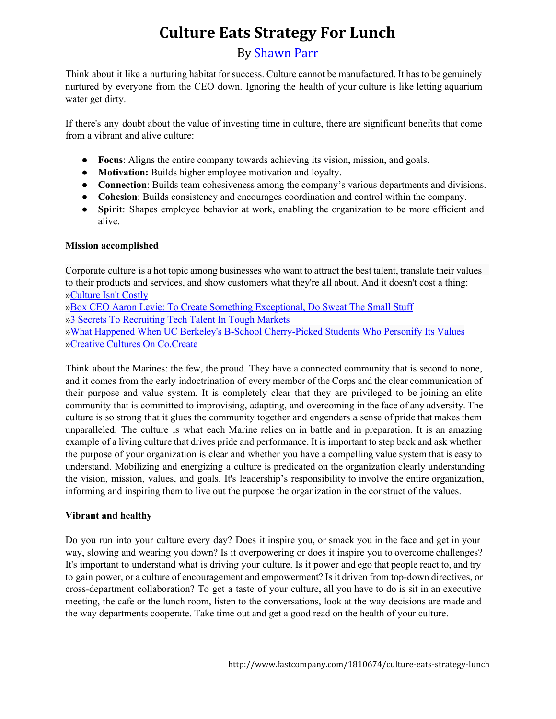### By [Shawn](http://www.fastcompany.com/user/shawn-parr) Parr

Think about it like a nurturing habitat for success. Culture cannot be manufactured. It has to be genuinely nurtured by everyone from the CEO down. Ignoring the health of your culture is like letting aquarium water get dirty.

If there's any doubt about the value of investing time in culture, there are significant benefits that come from a vibrant and alive culture:

- **Focus**: Aligns the entire company towards achieving its vision, mission, and goals.
- **Motivation:**Builds higher employee motivation and loyalty.
- **Connection**: Builds team cohesiveness among the company's various departments and divisions.
- **Cohesion**: Builds consistency and encourages coordination and control within the company.
- **Spirit**: Shapes employee behavior at work, enabling the organization to be more efficient and alive.

### **Mission accomplished**

Corporate culture is a hot topic among businesses who want to attract the best talent, translate their values to their products and services, and show customers what they're all about. And it doesn't cost a thing: [»Culture](http://www.fastcompany.com/1801014/culture-isnt-costly) Isn't Costly »Box CEO Aaron Levie: To Create Something [Exceptional,](http://www.fastcompany.com/1798504/to-create-something-exceptional-do-sweat-the-small-stuff) Do Sweat The Small Stuff »3 Secrets To [Recruiting](http://www.fastcompany.com/1810918/3-secrets-to-recruiting-tech-talent-in-tough-markets) Tech Talent In Tough Markets »What Happened When UC Berkeley's B-School Cherry-Picked Students Who Personify Its Values »Creative Cultures On [Co.Create](http://www.fastcocreate.com/section/creative-cultures)

Think about the Marines: the few, the proud. They have a connected community that is second to none, and it comes from the early indoctrination of every member of the Corps and the clear communication of their purpose and value system. It is completely clear that they are privileged to be joining an elite community that is committed to improvising, adapting, and overcoming in the face of any adversity. The culture is so strong that it glues the community together and engenders a sense of pride that makes them unparalleled. The culture is what each Marine relies on in battle and in preparation. It is an amazing example of a living culture that drives pride and performance. It is important to step back and ask whether the purpose of your organization is clear and whether you have a compelling value system that is easy to understand. Mobilizing and energizing a culture is predicated on the organization clearly understanding the vision, mission, values, and goals. It's leadership's responsibility to involve the entire organization, informing and inspiring them to live out the purpose the organization in the construct of the values.

### **Vibrant and healthy**

Do you run into your culture every day? Does it inspire you, or smack you in the face and get in your way, slowing and wearing you down? Is it overpowering or does it inspire you to overcome challenges? It's important to understand what is driving your culture. Is it power and ego that people react to, and try to gain power, or a culture of encouragement and empowerment? Is it driven from top-down directives, or cross-department collaboration? To get a taste of your culture, all you have to do is sit in an executive meeting, the cafe or the lunch room, listen to the conversations, look at the way decisions are made and the way departments cooperate. Take time out and get a good read on the health of your culture.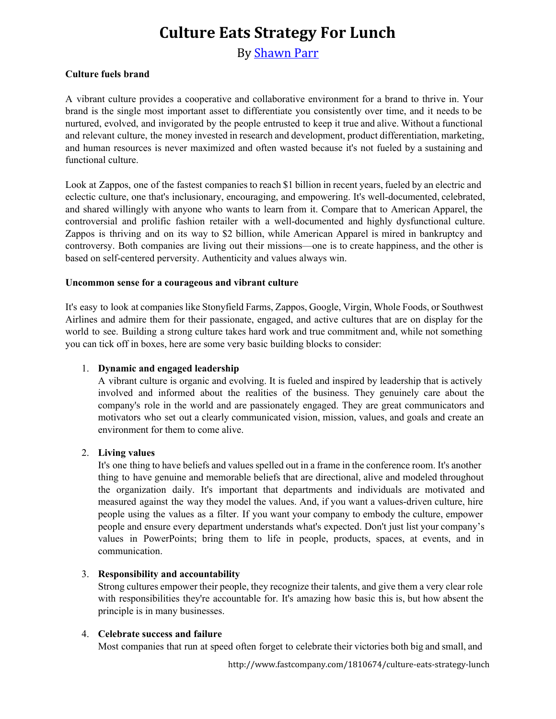By [Shawn](http://www.fastcompany.com/user/shawn-parr) Parr

### **Culture fuels brand**

A vibrant culture provides a cooperative and collaborative environment for a brand to thrive in. Your brand is the single most important asset to differentiate you consistently over time, and it needs to be nurtured, evolved, and invigorated by the people entrusted to keep it true and alive. Without a functional and relevant culture, the money invested in research and development, product differentiation, marketing, and human resources is never maximized and often wasted because it's not fueled by a sustaining and functional culture.

Look at Zappos, one of the fastest companies to reach \$1 billion in recent years, fueled by an electric and eclectic culture, one that's inclusionary, encouraging, and empowering. It's well-documented, celebrated, and shared willingly with anyone who wants to learn from it. Compare that to American Apparel, the controversial and prolific fashion retailer with a well-documented and highly dysfunctional culture. Zappos is thriving and on its way to \$2 billion, while American Apparel is mired in bankruptcy and controversy. Both companies are living out their missions—one is to create happiness, and the other is based on self-centered perversity. Authenticity and values always win.

#### **Uncommon sense for a courageous and vibrant culture**

It's easy to look at companies like Stonyfield Farms, Zappos, Google, Virgin, Whole Foods, or Southwest Airlines and admire them for their passionate, engaged, and active cultures that are on display for the world to see. Building a strong culture takes hard work and true commitment and, while not something you can tick off in boxes, here are some very basic building blocks to consider:

#### 1. **Dynamic and engaged leadership**

A vibrant culture is organic and evolving. It is fueled and inspired by leadership that is actively involved and informed about the realities of the business. They genuinely care about the company's role in the world and are passionately engaged. They are great communicators and motivators who set out a clearly communicated vision, mission, values, and goals and create an environment for them to come alive.

#### 2. **Living values**

It's one thing to have beliefs and values spelled out in a frame in the conference room. It's another thing to have genuine and memorable beliefs that are directional, alive and modeled throughout the organization daily. It's important that departments and individuals are motivated and measured against the way they model the values. And, if you want a values-driven culture, hire people using the values as a filter. If you want your company to embody the culture, empower people and ensure every department understands what's expected. Don't just list your company's values in PowerPoints; bring them to life in people, products, spaces, at events, and in communication.

#### 3. **Responsibility and accountability**

Strong cultures empower their people, they recognize their talents, and give them a very clear role with responsibilities they're accountable for. It's amazing how basic this is, but how absent the principle is in many businesses.

#### 4. **Celebrate success and failure**

Most companies that run at speed often forget to celebrate their victories both big and small, and